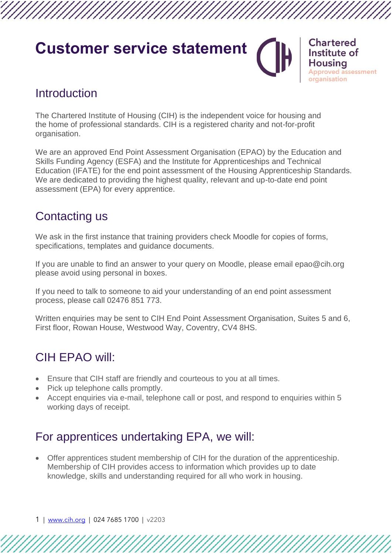# **Customer service statement**



**Chartered** Institute of **Housing Approved assessment** organisation

### **Introduction**

The Chartered Institute of Housing (CIH) is the independent voice for housing and the home of professional standards. CIH is a registered charity and not-for-profit organisation.

We are an approved End Point Assessment Organisation (EPAO) by the Education and Skills Funding Agency (ESFA) and the Institute for Apprenticeships and Technical Education (IFATE) for the end point assessment of the Housing Apprenticeship Standards. We are dedicated to providing the highest quality, relevant and up-to-date end point assessment (EPA) for every apprentice.

## Contacting us

We ask in the first instance that training providers check Moodle for copies of forms, specifications, templates and guidance documents.

If you are unable to find an answer to your query on Moodle, please email epao@cih.org please avoid using personal in boxes.

If you need to talk to someone to aid your understanding of an end point assessment process, please call 02476 851 773.

Written enquiries may be sent to CIH End Point Assessment Organisation, Suites 5 and 6, First floor, Rowan House, Westwood Way, Coventry, CV4 8HS.

# CIH EPAO will:

- Ensure that CIH staff are friendly and courteous to you at all times.
- Pick up telephone calls promptly.
- Accept enquiries via e-mail, telephone call or post, and respond to enquiries within 5 working days of receipt.

### For apprentices undertaking EPA, we will:

• Offer apprentices student membership of CIH for the duration of the apprenticeship. Membership of CIH provides access to information which provides up to date knowledge, skills and understanding required for all who work in housing.

1 | [www.cih.org](http://www.cih.org/) | 024 7685 1700 | v2203